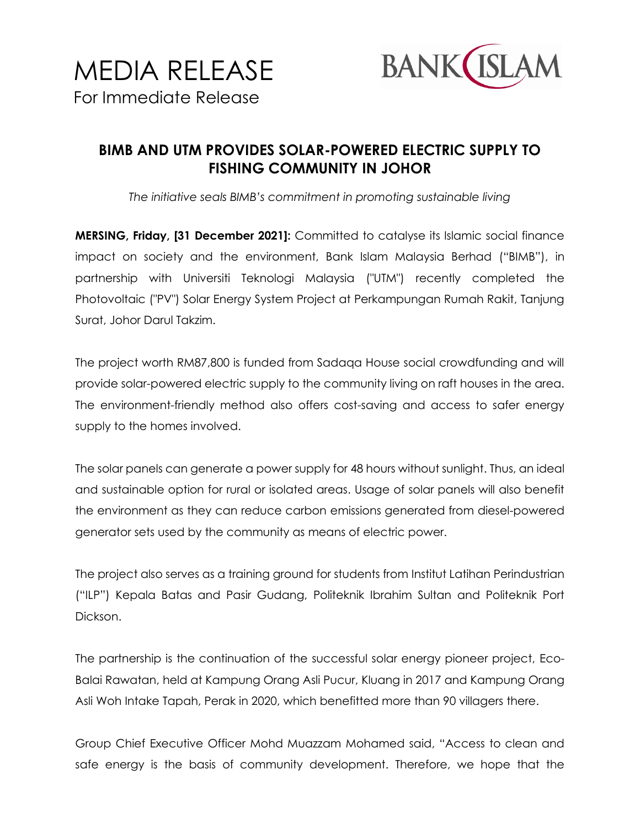

## **BIMB AND UTM PROVIDES SOLAR-POWERED ELECTRIC SUPPLY TO FISHING COMMUNITY IN JOHOR**

*The initiative seals BIMB's commitment in promoting sustainable living* 

**MERSING, Friday, [31 December 2021]:** Committed to catalyse its Islamic social finance impact on society and the environment, Bank Islam Malaysia Berhad ("BIMB"), in partnership with Universiti Teknologi Malaysia ("UTM") recently completed the Photovoltaic ("PV") Solar Energy System Project at Perkampungan Rumah Rakit, Tanjung Surat, Johor Darul Takzim.

The project worth RM87,800 is funded from Sadaqa House social crowdfunding and will provide solar-powered electric supply to the community living on raft houses in the area. The environment-friendly method also offers cost-saving and access to safer energy supply to the homes involved.

The solar panels can generate a power supply for 48 hours without sunlight. Thus, an ideal and sustainable option for rural or isolated areas. Usage of solar panels will also benefit the environment as they can reduce carbon emissions generated from diesel-powered generator sets used by the community as means of electric power.

The project also serves as a training ground for students from Institut Latihan Perindustrian ("ILP") Kepala Batas and Pasir Gudang, Politeknik Ibrahim Sultan and Politeknik Port Dickson.

The partnership is the continuation of the successful solar energy pioneer project, Eco-Balai Rawatan, held at Kampung Orang Asli Pucur, Kluang in 2017 and Kampung Orang Asli Woh Intake Tapah, Perak in 2020, which benefitted more than 90 villagers there.

Group Chief Executive Officer Mohd Muazzam Mohamed said, "Access to clean and safe energy is the basis of community development. Therefore, we hope that the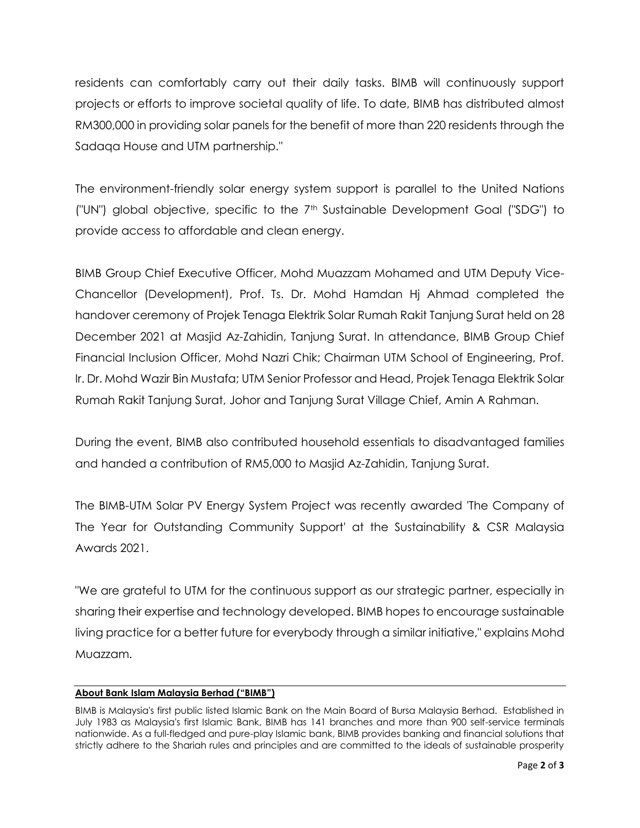residents can comfortably carry out their daily tasks. BIMB will continuously support projects or efforts to improve societal quality of life. To date, BIMB has distributed almost RM300,000 in providing solar panels for the benefit of more than 220 residents through the Sadaqa House and UTM partnership."

The environment-friendly solar energy system support is parallel to the United Nations ("UN") global objective, specific to the 7th Sustainable Development Goal ("SDG") to provide access to affordable and clean energy.

BIMB Group Chief Executive Officer, Mohd Muazzam Mohamed and UTM Deputy Vice-Chancellor (Development), Prof. Ts. Dr. Mohd Hamdan Hj Ahmad completed the handover ceremony of Projek Tenaga Elektrik Solar Rumah Rakit Tanjung Surat held on 28 December 2021 at Masjid Az-Zahidin, Tanjung Surat. In attendance, BIMB Group Chief Financial Inclusion Officer, Mohd Nazri Chik; Chairman UTM School of Engineering, Prof. Ir. Dr. Mohd Wazir Bin Mustafa; UTM Senior Professor and Head, Projek Tenaga Elektrik Solar Rumah Rakit Tanjung Surat, Johor and Tanjung Surat Village Chief, Amin A Rahman.

During the event, BIMB also contributed household essentials to disadvantaged families and handed a contribution of RM5,000 to Masjid Az-Zahidin, Tanjung Surat.

The BIMB-UTM Solar PV Energy System Project was recently awarded 'The Company of The Year for Outstanding Community Support' at the Sustainability & CSR Malaysia Awards 2021.

"We are grateful to UTM for the continuous support as our strategic partner, especially in sharing their expertise and technology developed. BIMB hopes to encourage sustainable living practice for a better future for everybody through a similar initiative," explains Mohd Muazzam.

## **About Bank Islam Malaysia Berhad ("BIMB")**

BIMB is Malaysia's first public listed Islamic Bank on the Main Board of Bursa Malaysia Berhad. Established in July 1983 as Malaysia's first Islamic Bank, BIMB has 141 branches and more than 900 self-service terminals nationwide. As a full-fledged and pure-play Islamic bank, BIMB provides banking and financial solutions that strictly adhere to the Shariah rules and principles and are committed to the ideals of sustainable prosperity